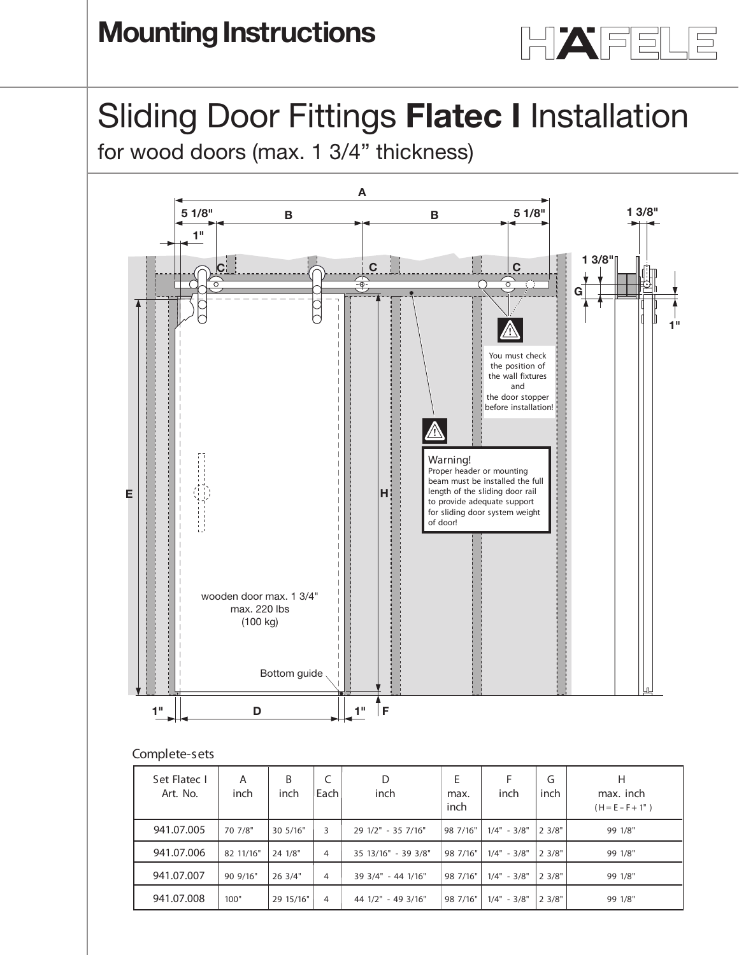

## Sliding Door Fittings **Flatec I** Installation **Installation instructions**

**Silding DOOL FILINGS Flatec Filistand**<br>for wood doors (max. 1 3/4" thickness)



## **Complete-sets**

| Set Flatec I<br>Art. No. | A<br>inch | B<br>inch | C<br>  Each I | D<br>inch           | E<br>max.<br>inch | inch          | G<br>inch    | н<br>max. inch<br>$(H = E - F + 1")$ |
|--------------------------|-----------|-----------|---------------|---------------------|-------------------|---------------|--------------|--------------------------------------|
| 941.07.005               | 70 7/8"   | 30 5/16"  | 3             | 29 1/2" - 35 7/16"  | 98 7/16"          | $1/4" - 3/8"$ | $ 2 \; 3/8"$ | 99 1/8"                              |
| 941.07.006               | 82 11/16" | 24 1/8"   | 4             | 35 13/16" - 39 3/8" | 98 7/16"          | $1/4" - 3/8"$ | 23/8"        | 99 1/8"                              |
| 941.07.007               | 90 9/16"  | 26 3/4"   | 4             | 39 3/4" - 44 1/16"  | 98 7/16"          | $1/4" - 3/8"$ | $ 2 \; 3/8"$ | 99 1/8"                              |
| 941.07.008               | 100"      | 29 15/16" | 4             | 44 1/2" - 49 3/16"  | 98 7/16"          | $1/4" - 3/8"$ | 2 3/8"       | 99 1/8"                              |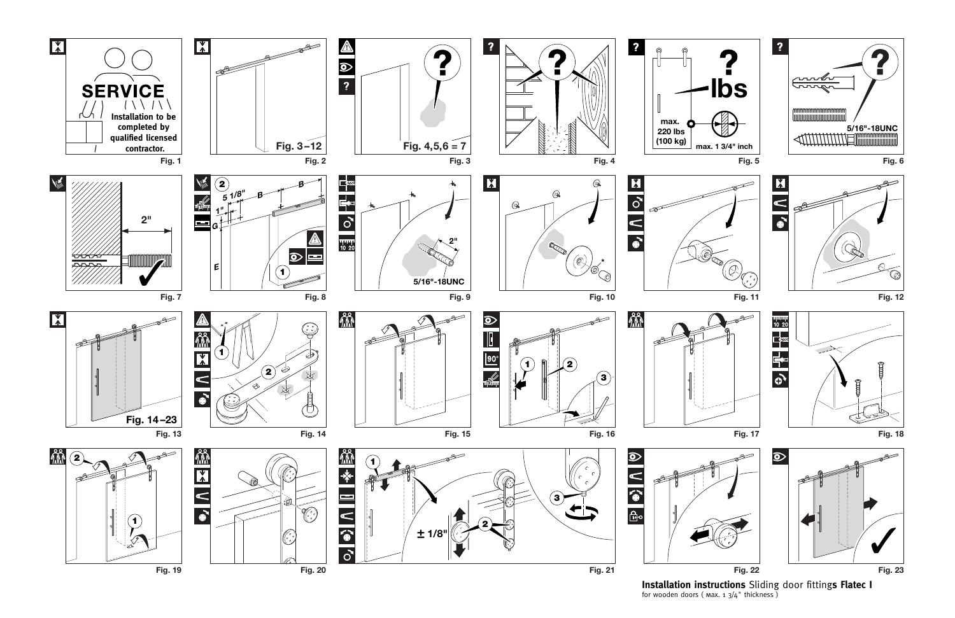